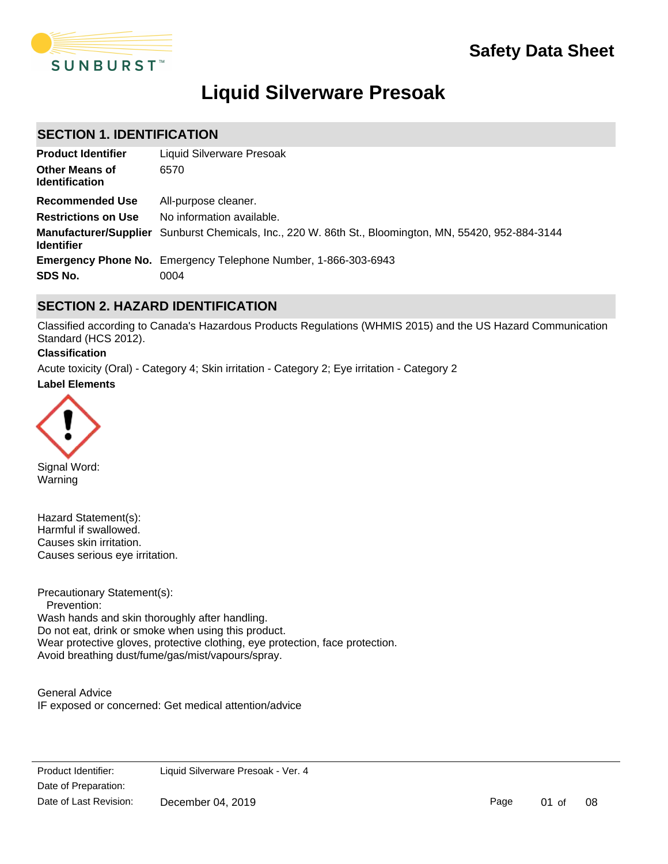

# **Liquid Silverware Presoak**

# **SECTION 1. IDENTIFICATION**

| <b>Product Identifier</b>                      | Liquid Silverware Presoak                                                                             |
|------------------------------------------------|-------------------------------------------------------------------------------------------------------|
| <b>Other Means of</b><br><b>Identification</b> | 6570                                                                                                  |
| Recommended Use                                | All-purpose cleaner.                                                                                  |
| <b>Restrictions on Use</b>                     | No information available.                                                                             |
| <b>Identifier</b>                              | Manufacturer/Supplier Sunburst Chemicals, Inc., 220 W. 86th St., Bloomington, MN, 55420, 952-884-3144 |
|                                                | <b>Emergency Phone No.</b> Emergency Telephone Number, 1-866-303-6943                                 |
| SDS No.                                        | 0004                                                                                                  |

# **SECTION 2. HAZARD IDENTIFICATION**

Classified according to Canada's Hazardous Products Regulations (WHMIS 2015) and the US Hazard Communication Standard (HCS 2012).

### **Classification**

**Label Elements** Acute toxicity (Oral) - Category 4; Skin irritation - Category 2; Eye irritation - Category 2



Signal Word: Warning

Hazard Statement(s): Harmful if swallowed. Causes skin irritation. Causes serious eye irritation.

Precautionary Statement(s): Prevention: Wash hands and skin thoroughly after handling. Do not eat, drink or smoke when using this product. Wear protective gloves, protective clothing, eye protection, face protection. Avoid breathing dust/fume/gas/mist/vapours/spray.

General Advice IF exposed or concerned: Get medical attention/advice

Product Identifier: Date of Preparation: Get medical advice and advice and advice at the persists of  $\overline{C}$ Liquid Silverware Presoak - Ver. 4 Date of Last Revision: December 04, 2019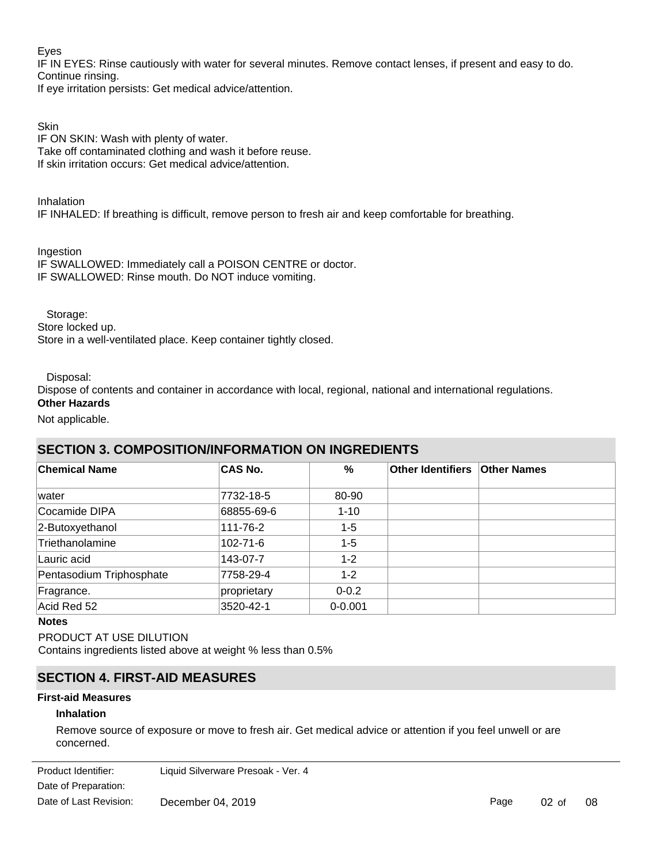### Eyes

IF IN EYES: Rinse cautiously with water for several minutes. Remove contact lenses, if present and easy to do. Continue rinsing.

If eye irritation persists: Get medical advice/attention.

## **Skin**

IF ON SKIN: Wash with plenty of water. Take off contaminated clothing and wash it before reuse. If skin irritation occurs: Get medical advice/attention.

Inhalation

IF INHALED: If breathing is difficult, remove person to fresh air and keep comfortable for breathing.

Ingestion

IF SWALLOWED: Immediately call a POISON CENTRE or doctor. IF SWALLOWED: Rinse mouth. Do NOT induce vomiting.

Storage:

Store locked up.

Store in a well-ventilated place. Keep container tightly closed.

Disposal:

Dispose of contents and container in accordance with local, regional, national and international regulations.

# **Other Hazards**

Not applicable.

# **SECTION 3. COMPOSITION/INFORMATION ON INGREDIENTS**

| <b>Chemical Name</b>     | <b>CAS No.</b> | %           | Other Identifiers   Other Names |  |
|--------------------------|----------------|-------------|---------------------------------|--|
| lwater                   | 7732-18-5      | 80-90       |                                 |  |
| Cocamide DIPA            | 68855-69-6     | $1 - 10$    |                                 |  |
| 2-Butoxyethanol          | 111-76-2       | $1 - 5$     |                                 |  |
| Triethanolamine          | 102-71-6       | $1 - 5$     |                                 |  |
| Lauric acid              | 143-07-7       | $1 - 2$     |                                 |  |
| Pentasodium Triphosphate | 7758-29-4      | $1 - 2$     |                                 |  |
| Fragrance.               | proprietary    | $0 - 0.2$   |                                 |  |
| Acid Red 52              | 3520-42-1      | $0 - 0.001$ |                                 |  |

### **Notes**

PRODUCT AT USE DILUTION Contains ingredients listed above at weight % less than 0.5%

# **SECTION 4. FIRST-AID MEASURES**

### **First-aid Measures**

**Skin Contact**

### **Inhalation**

Remove source of exposure or move to fresh air. Get medical advice or attention if you feel unwell or are concerned.

Date of Preparation: Product Identifier: Liquid Silverware Presoak - Ver. 4 Date of Last Revision: December 04, 2019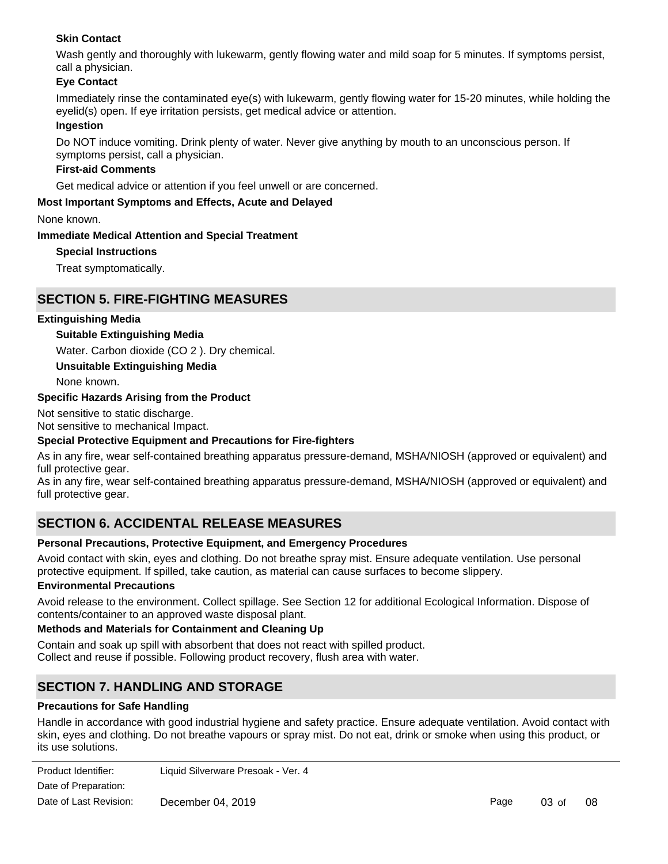### **Skin Contact**

Wash gently and thoroughly with lukewarm, gently flowing water and mild soap for 5 minutes. If symptoms persist, call a physician.

### **Eye Contact**

Immediately rinse the contaminated eye(s) with lukewarm, gently flowing water for 15-20 minutes, while holding the eyelid(s) open. If eye irritation persists, get medical advice or attention.

### **Ingestion**

Do NOT induce vomiting. Drink plenty of water. Never give anything by mouth to an unconscious person. If symptoms persist, call a physician.

### **First-aid Comments**

Get medical advice or attention if you feel unwell or are concerned.

### **Most Important Symptoms and Effects, Acute and Delayed**

None known.

### **Immediate Medical Attention and Special Treatment**

### **Special Instructions**

Treat symptomatically.

# **SECTION 5. FIRE-FIGHTING MEASURES**

### **Extinguishing Media**

### **Suitable Extinguishing Media**

Water. Carbon dioxide (CO 2 ). Dry chemical.

**Unsuitable Extinguishing Media**

None known.

### **Specific Hazards Arising from the Product**

Not sensitive to static discharge.

Not sensitive to mechanical Impact.

### **Special Protective Equipment and Precautions for Fire-fighters**

As in any fire, wear self-contained breathing apparatus pressure-demand, MSHA/NIOSH (approved or equivalent) and full protective gear.

As in any fire, wear self-contained breathing apparatus pressure-demand, MSHA/NIOSH (approved or equivalent) and full protective gear.

# **SECTION 6. ACCIDENTAL RELEASE MEASURES**

### **Personal Precautions, Protective Equipment, and Emergency Procedures**

Avoid contact with skin, eyes and clothing. Do not breathe spray mist. Ensure adequate ventilation. Use personal protective equipment. If spilled, take caution, as material can cause surfaces to become slippery.

### **Environmental Precautions**

Avoid release to the environment. Collect spillage. See Section 12 for additional Ecological Information. Dispose of contents/container to an approved waste disposal plant.

### **Methods and Materials for Containment and Cleaning Up**

Contain and soak up spill with absorbent that does not react with spilled product. Collect and reuse if possible. Following product recovery, flush area with water.

# **SECTION 7. HANDLING AND STORAGE**

### **Precautions for Safe Handling**

Handle in accordance with good industrial hygiene and safety practice. Ensure adequate ventilation. Avoid contact with skin, eyes and clothing. Do not breathe vapours or spray mist. Do not eat, drink or smoke when using this product, or its use solutions.

| Product Identifier:    | Liquid Silverware Presoak - Ver. 4 |
|------------------------|------------------------------------|
| Date of Preparation:   |                                    |
| Date of Last Revision: | December 04, 2019                  |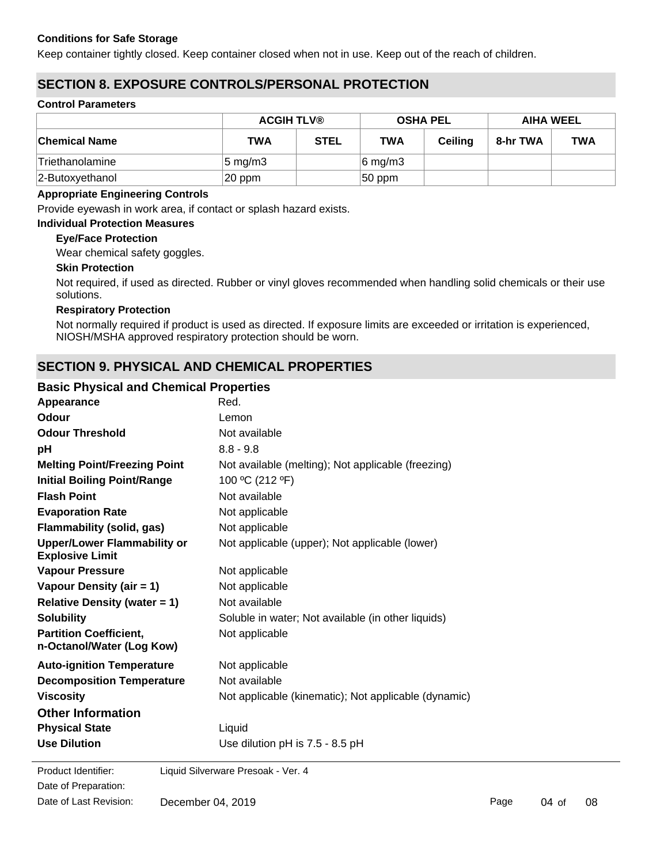### **Conditions for Safe Storage**

Keep container tightly closed. Keep container closed when not in use. Keep out of the reach of children.

# **SECTION 8. EXPOSURE CONTROLS/PERSONAL PROTECTION**

### **Control Parameters**

|                      | <b>ACGIH TLV®</b>  |             | <b>OSHA PEL</b>     |         | <b>AIHA WEEL</b> |            |
|----------------------|--------------------|-------------|---------------------|---------|------------------|------------|
| <b>Chemical Name</b> | TWA                | <b>STEL</b> | <b>TWA</b>          | Ceiling | 8-hr TWA         | <b>TWA</b> |
| 'Triethanolamine     | $5 \text{ mg/m}$ 3 |             | $ 6 \text{ mg/m}$ 3 |         |                  |            |
| 2-Butoxyethanol      | 20 ppm             |             | $ 50$ ppm           |         |                  |            |

### **Appropriate Engineering Controls**

Provide eyewash in work area, if contact or splash hazard exists.

### **Individual Protection Measures**

### **Eye/Face Protection**

Wear chemical safety goggles.

### **Skin Protection**

Not required, if used as directed. Rubber or vinyl gloves recommended when handling solid chemicals or their use solutions.

### **Respiratory Protection**

Not normally required if product is used as directed. If exposure limits are exceeded or irritation is experienced, NIOSH/MSHA approved respiratory protection should be worn.

# **SECTION 9. PHYSICAL AND CHEMICAL PROPERTIES**

### **Basic Physical and Chemical Properties**

| Appearance                                                   | Red.                                                 |
|--------------------------------------------------------------|------------------------------------------------------|
| Odour                                                        | Lemon                                                |
| <b>Odour Threshold</b>                                       | Not available                                        |
| pH                                                           | $8.8 - 9.8$                                          |
| <b>Melting Point/Freezing Point</b>                          | Not available (melting); Not applicable (freezing)   |
| <b>Initial Boiling Point/Range</b>                           | 100 °C (212 °F)                                      |
| <b>Flash Point</b>                                           | Not available                                        |
| <b>Evaporation Rate</b>                                      | Not applicable                                       |
| <b>Flammability (solid, gas)</b>                             | Not applicable                                       |
| <b>Upper/Lower Flammability or</b><br><b>Explosive Limit</b> | Not applicable (upper); Not applicable (lower)       |
| <b>Vapour Pressure</b>                                       | Not applicable                                       |
| Vapour Density (air = 1)                                     | Not applicable                                       |
| Relative Density (water $= 1$ )                              | Not available                                        |
| <b>Solubility</b>                                            | Soluble in water; Not available (in other liquids)   |
| <b>Partition Coefficient,</b><br>n-Octanol/Water (Log Kow)   | Not applicable                                       |
| <b>Auto-ignition Temperature</b>                             | Not applicable                                       |
| <b>Decomposition Temperature</b>                             | Not available                                        |
| <b>Viscosity</b>                                             | Not applicable (kinematic); Not applicable (dynamic) |
| <b>Other Information</b>                                     |                                                      |
| <b>Physical State</b>                                        | Liquid                                               |
| <b>Use Dilution</b>                                          | Use dilution pH is 7.5 - 8.5 pH                      |
|                                                              |                                                      |

Date of Preparation: Product Identifier: Liquid Silverware Presoak - Ver. 4 Date of Last Revision: December 04, 2019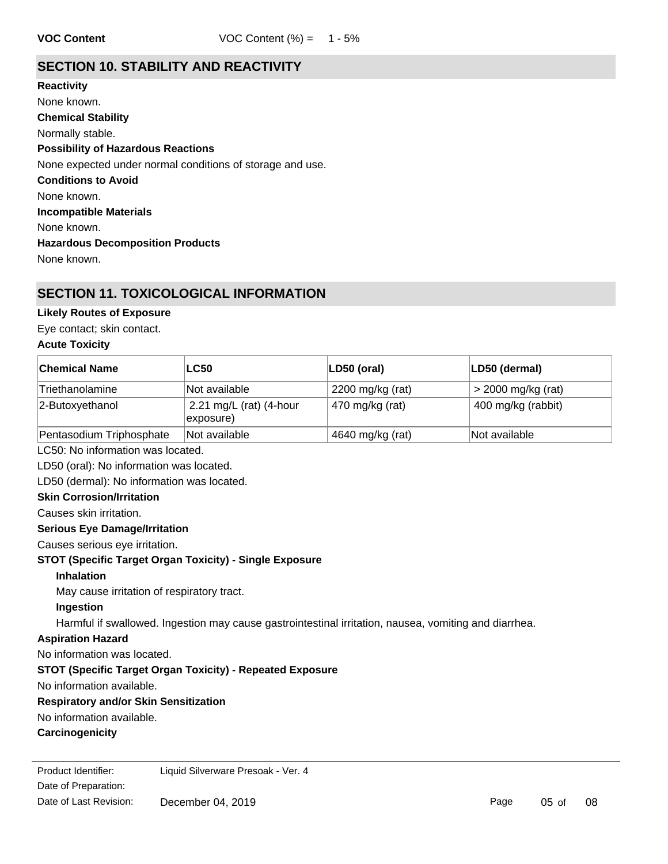# **SECTION 10. STABILITY AND REACTIVITY**

**Chemical Stability** Normally stable. **Conditions to Avoid** None known. **Incompatible Materials** None known. **Hazardous Decomposition Products** None known. **Possibility of Hazardous Reactions** None expected under normal conditions of storage and use. **Reactivity** None known.

# **SECTION 11. TOXICOLOGICAL INFORMATION**

### **Likely Routes of Exposure**

Eye contact; skin contact.

### **Acute Toxicity**

| <b>Chemical Name</b>                       | <b>LC50</b>                          | LD50 (oral)      | LD50 (dermal)        |
|--------------------------------------------|--------------------------------------|------------------|----------------------|
| Triethanolamine                            | Not available                        | 2200 mg/kg (rat) | $>$ 2000 mg/kg (rat) |
| 2-Butoxyethanol                            | 2.21 mg/L (rat) (4-hour<br>exposure) | 470 mg/kg (rat)  | 400 mg/kg (rabbit)   |
| Pentasodium Triphosphate                   | Not available                        | 4640 mg/kg (rat) | Not available        |
| LC50: No information was located.          |                                      |                  |                      |
| LD50 (oral): No information was located.   |                                      |                  |                      |
| LD50 (dermal): No information was located. |                                      |                  |                      |
| <b>Skin Corrosion/Irritation</b>           |                                      |                  |                      |
| Coucos ekin irritation                     |                                      |                  |                      |

Causes skin irritation.

# **Serious Eye Damage/Irritation**

Causes serious eye irritation.

### **STOT (Specific Target Organ Toxicity) - Single Exposure**

**Inhalation**

May cause irritation of respiratory tract.

# **Ingestion**

Harmful if swallowed. Ingestion may cause gastrointestinal irritation, nausea, vomiting and diarrhea.

## **Aspiration Hazard**

No information was located.

### **STOT (Specific Target Organ Toxicity) - Repeated Exposure**

No information available.

### **Respiratory and/or Skin Sensitization**

No information available.

### **Carcinogenicity**

Date of Preparation: Product Identifier: Liquid Silverware Presoak - Ver. 4 Date of Last Revision: December 04, 2019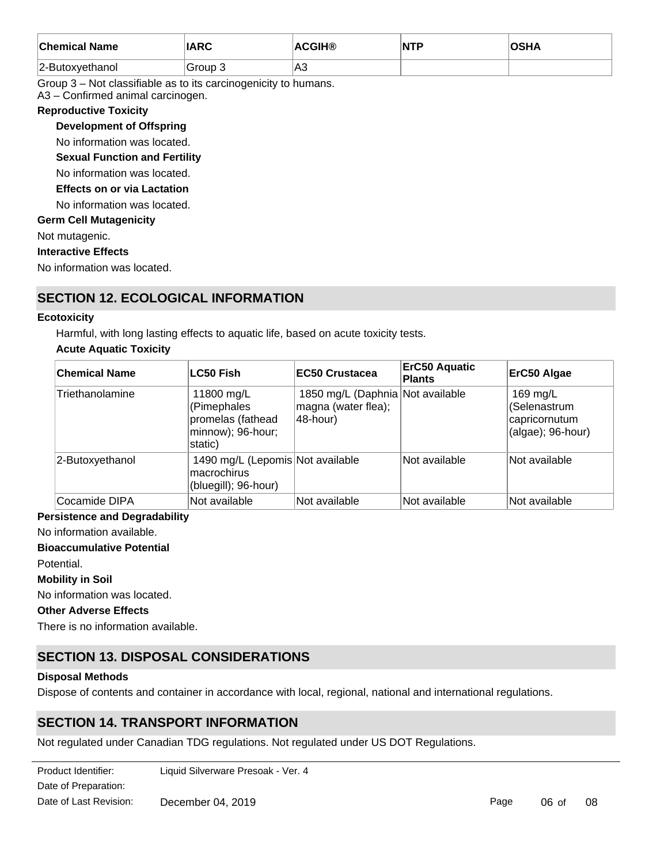| <b>Chemical Name</b> | <b>IARC</b> | <b>ACGIH®</b> | NTP | <b>OCUA</b><br>⊬חכ |
|----------------------|-------------|---------------|-----|--------------------|
| 2-Butoxyethanol      | Group 3     | ∣A3           |     |                    |

Group 3 – Not classifiable as to its carcinogenicity to humans.

A3 – Confirmed animal carcinogen.

### **Reproductive Toxicity**

**Development of Offspring**

No information was located.

**Sexual Function and Fertility**

No information was located.

### **Effects on or via Lactation**

No information was located.

### **Germ Cell Mutagenicity**

Not mutagenic.

### **Interactive Effects**

No information was located.

# **SECTION 12. ECOLOGICAL INFORMATION**

### **Ecotoxicity**

Harmful, with long lasting effects to aquatic life, based on acute toxicity tests.

### **Acute Aquatic Toxicity**

| <b>Chemical Name</b> | <b>LC50 Fish</b>                                                               | <b>EC50 Crustacea</b>                                                   | <b>ErC50 Aquatic</b><br><b>Plants</b> | ErC50 Algae                                                    |
|----------------------|--------------------------------------------------------------------------------|-------------------------------------------------------------------------|---------------------------------------|----------------------------------------------------------------|
| Triethanolamine      | 11800 mg/L<br>(Pimephales<br>promelas (fathead<br>minnow); 96-hour;<br>static) | 1850 mg/L (Daphnia Not available<br>magna (water flea);<br>$ 48$ -hour) |                                       | 169 mg/L<br>(Selenastrum<br>capricornutum<br>(algae); 96-hour) |
| 2-Butoxyethanol      | 1490 mg/L (Lepomis Not available<br>macrochirus<br>(bluegill); 96-hour)        |                                                                         | Not available                         | Not available                                                  |
| Cocamide DIPA        | Not available                                                                  | Not available                                                           | Not available                         | Not available                                                  |

### **Persistence and Degradability**

No information available.

### **Bioaccumulative Potential**

Potential.

### **Mobility in Soil**

No information was located.

### **Other Adverse Effects**

There is no information available.

# **SECTION 13. DISPOSAL CONSIDERATIONS**

### **Disposal Methods**

Dispose of contents and container in accordance with local, regional, national and international regulations.

# **SECTION 14. TRANSPORT INFORMATION**

Not regulated under Canadian TDG regulations. Not regulated under US DOT Regulations.

| Product Identifier:    | Liquid Silverware Presoak - Ver. 4 |
|------------------------|------------------------------------|
| Date of Preparation:   |                                    |
| Date of Last Revision: | December 04, 2019                  |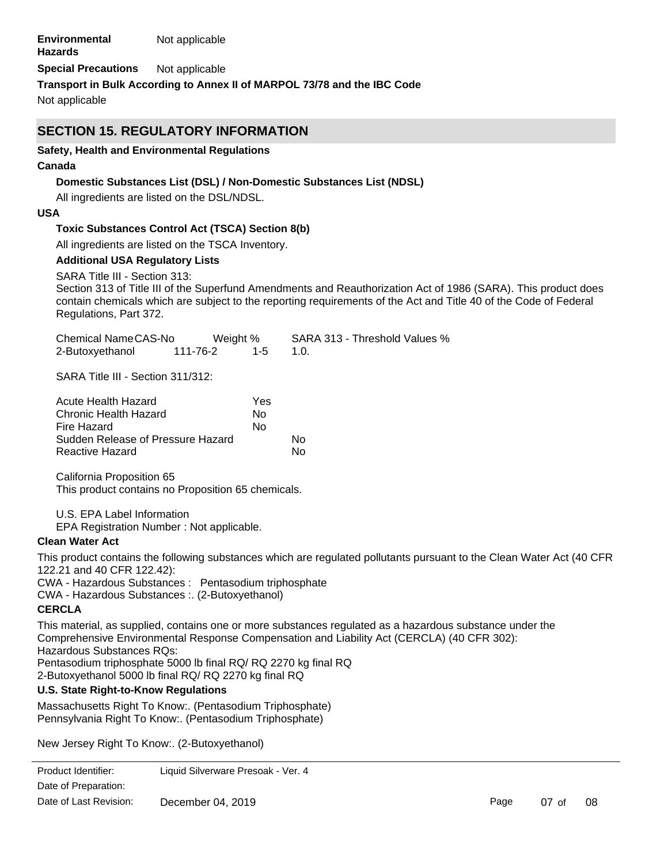| <b>Environmental</b> | Not applicable |
|----------------------|----------------|
| <b>Hazards</b>       |                |

**Special Precautions** Not applicable

**Transport in Bulk According to Annex II of MARPOL 73/78 and the IBC Code**

Not applicable

# **SECTION 15. REGULATORY INFORMATION**

### **Safety, Health and Environmental Regulations**

### **Canada**

### **Domestic Substances List (DSL) / Non-Domestic Substances List (NDSL)**

All ingredients are listed on the DSL/NDSL.

### **USA**

### **Toxic Substances Control Act (TSCA) Section 8(b)**

All ingredients are listed on the TSCA Inventory.

### **Additional USA Regulatory Lists**

SARA Title III - Section 313:

Section 313 of Title III of the Superfund Amendments and Reauthorization Act of 1986 (SARA). This product does contain chemicals which are subject to the reporting requirements of the Act and Title 40 of the Code of Federal Regulations, Part 372.

| Chemical NameCAS-No | Weight % |         | SARA 313 - Threshold Values % |
|---------------------|----------|---------|-------------------------------|
| 2-Butoxyethanol     | 111-76-2 | $1 - 5$ | $\sim$ 10                     |

SARA Title III - Section 311/312:

| Acute Health Hazard               | Yes |    |
|-----------------------------------|-----|----|
| Chronic Health Hazard             | N٥  |    |
| Fire Hazard                       | No  |    |
| Sudden Release of Pressure Hazard |     | N٥ |
| Reactive Hazard                   |     | N٥ |

California Proposition 65 This product contains no Proposition 65 chemicals.

U.S. EPA Label Information

EPA Registration Number : Not applicable.

### **Clean Water Act**

This product contains the following substances which are regulated pollutants pursuant to the Clean Water Act (40 CFR 122.21 and 40 CFR 122.42):

CWA - Hazardous Substances : Pentasodium triphosphate

CWA - Hazardous Substances :. (2-Butoxyethanol)

### **CERCLA**

This material, as supplied, contains one or more substances regulated as a hazardous substance under the Comprehensive Environmental Response Compensation and Liability Act (CERCLA) (40 CFR 302): Hazardous Substances RQs: Pentasodium triphosphate 5000 lb final RQ/ RQ 2270 kg final RQ 2-Butoxyethanol 5000 lb final RQ/ RQ 2270 kg final RQ

### **U.S. State Right-to-Know Regulations**

Massachusetts Right To Know:. (Pentasodium Triphosphate) Pennsylvania Right To Know:. (Pentasodium Triphosphate)

New Jersey Right To Know:. (2-Butoxyethanol) Massachusetts Right To Know:. (2-Butoxyethanol)

Product Identifier: Liquid Silverware Presoak - Ver. 4 Date of Preparation:<br> Date of Last Revision: December 04, 2019